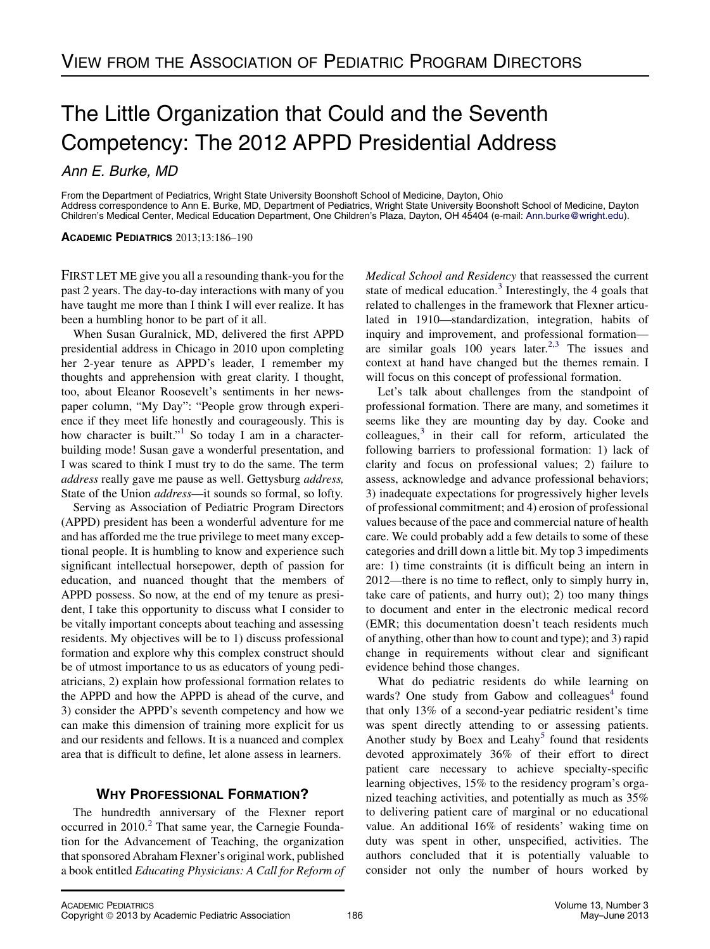# The Little Organization that Could and the Seventh Competency: The 2012 APPD Presidential Address

Ann E. Burke, MD

From the Department of Pediatrics, Wright State University Boonshoft School of Medicine, Dayton, Ohio Address correspondence to Ann E. Burke, MD, Department of Pediatrics, Wright State University Boonshoft School of Medicine, Dayton Children's Medical Center, Medical Education Department, One Children's Plaza, Dayton, OH 45404 (e-mail: [Ann.burke@wright.edu](mailto:Ann.burke@wright.edu)).

ACADEMIC PEDIATRICS 2013;13:186–190

FIRST LET ME give you all a resounding thank-you for the past 2 years. The day-to-day interactions with many of you have taught me more than I think I will ever realize. It has been a humbling honor to be part of it all.

When Susan Guralnick, MD, delivered the first APPD presidential address in Chicago in 2010 upon completing her 2-year tenure as APPD's leader, I remember my thoughts and apprehension with great clarity. I thought, too, about Eleanor Roosevelt's sentiments in her newspaper column, "My Day": "People grow through experience if they meet life honestly and courageously. This is how character is built."<sup>[1](#page-4-0)</sup> So today I am in a characterbuilding mode! Susan gave a wonderful presentation, and I was scared to think I must try to do the same. The term address really gave me pause as well. Gettysburg address, State of the Union *address*—it sounds so formal, so lofty.

Serving as Association of Pediatric Program Directors (APPD) president has been a wonderful adventure for me and has afforded me the true privilege to meet many exceptional people. It is humbling to know and experience such significant intellectual horsepower, depth of passion for education, and nuanced thought that the members of APPD possess. So now, at the end of my tenure as president, I take this opportunity to discuss what I consider to be vitally important concepts about teaching and assessing residents. My objectives will be to 1) discuss professional formation and explore why this complex construct should be of utmost importance to us as educators of young pediatricians, 2) explain how professional formation relates to the APPD and how the APPD is ahead of the curve, and 3) consider the APPD's seventh competency and how we can make this dimension of training more explicit for us and our residents and fellows. It is a nuanced and complex area that is difficult to define, let alone assess in learners.

## **WHY PROFESSIONAL FORMATION?**

The hundredth anniversary of the Flexner report occurred in  $2010<sup>2</sup>$  $2010<sup>2</sup>$  That same year, the Carnegie Foundation for the Advancement of Teaching, the organization that sponsored Abraham Flexner's original work, published a book entitled Educating Physicians: A Call for Reform of Medical School and Residency that reassessed the current state of medical education.<sup>[3](#page-4-0)</sup> Interestingly, the 4 goals that related to challenges in the framework that Flexner articulated in 1910—standardization, integration, habits of inquiry and improvement, and professional formation are similar goals  $100$  years later.<sup>[2,3](#page-4-0)</sup> The issues and context at hand have changed but the themes remain. I will focus on this concept of professional formation.

Let's talk about challenges from the standpoint of professional formation. There are many, and sometimes it seems like they are mounting day by day. Cooke and  $\text{colle}$  colleagues,<sup>[3](#page-4-0)</sup> in their call for reform, articulated the following barriers to professional formation: 1) lack of clarity and focus on professional values; 2) failure to assess, acknowledge and advance professional behaviors; 3) inadequate expectations for progressively higher levels of professional commitment; and 4) erosion of professional values because of the pace and commercial nature of health care. We could probably add a few details to some of these categories and drill down a little bit. My top 3 impediments are: 1) time constraints (it is difficult being an intern in 2012—there is no time to reflect, only to simply hurry in, take care of patients, and hurry out); 2) too many things to document and enter in the electronic medical record (EMR; this documentation doesn't teach residents much of anything, other than how to count and type); and 3) rapid change in requirements without clear and significant evidence behind those changes.

What do pediatric residents do while learning on wards? One study from Gabow and colleagues $4$  found that only 13% of a second-year pediatric resident's time was spent directly attending to or assessing patients. Another study by Boex and Leahy<sup>[5](#page-4-0)</sup> found that residents devoted approximately 36% of their effort to direct patient care necessary to achieve specialty-specific learning objectives, 15% to the residency program's organized teaching activities, and potentially as much as 35% to delivering patient care of marginal or no educational value. An additional 16% of residents' waking time on duty was spent in other, unspecified, activities. The authors concluded that it is potentially valuable to consider not only the number of hours worked by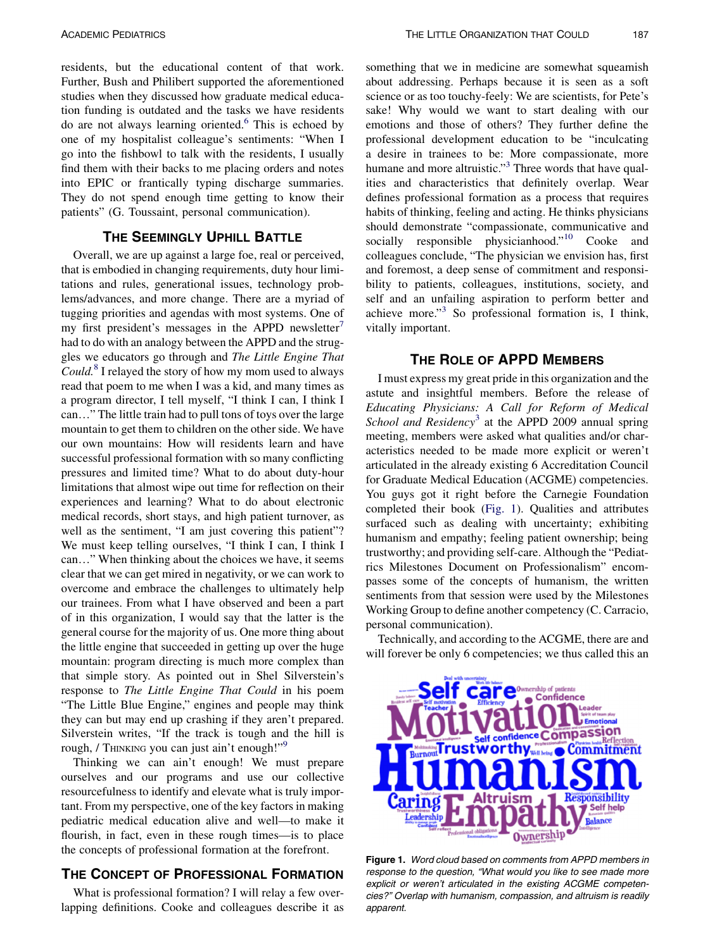residents, but the educational content of that work. Further, Bush and Philibert supported the aforementioned studies when they discussed how graduate medical education funding is outdated and the tasks we have residents do are not always learning oriented.<sup>[6](#page-4-0)</sup> This is echoed by one of my hospitalist colleague's sentiments: "When I go into the fishbowl to talk with the residents, I usually find them with their backs to me placing orders and notes into EPIC or frantically typing discharge summaries. They do not spend enough time getting to know their patients" (G. Toussaint, personal communication).

### **THE SEEMINGLY UPHILL BATTLE**

Overall, we are up against a large foe, real or perceived, that is embodied in changing requirements, duty hour limitations and rules, generational issues, technology problems/advances, and more change. There are a myriad of tugging priorities and agendas with most systems. One of my first president's messages in the APPD newsletter<sup> $\prime$ </sup> had to do with an analogy between the APPD and the struggles we educators go through and The Little Engine That Could.<sup>[8](#page-4-0)</sup> I relayed the story of how my mom used to always read that poem to me when I was a kid, and many times as a program director, I tell myself, "I think I can, I think I can..." The little train had to pull tons of toys over the large mountain to get them to children on the other side. We have our own mountains: How will residents learn and have successful professional formation with so many conflicting pressures and limited time? What to do about duty-hour limitations that almost wipe out time for reflection on their experiences and learning? What to do about electronic medical records, short stays, and high patient turnover, as well as the sentiment, "I am just covering this patient"? We must keep telling ourselves, "I think I can, I think I can..." When thinking about the choices we have, it seems clear that we can get mired in negativity, or we can work to overcome and embrace the challenges to ultimately help our trainees. From what I have observed and been a part of in this organization, I would say that the latter is the general course for the majority of us. One more thing about the little engine that succeeded in getting up over the huge mountain: program directing is much more complex than that simple story. As pointed out in Shel Silverstein's response to The Little Engine That Could in his poem "The Little Blue Engine," engines and people may think they can but may end up crashing if they aren't prepared. Silverstein writes, "If the track is tough and the hill is rough, / THINKING you can just ain't enough!"<sup>[9](#page-4-0)</sup>

Thinking we can ain't enough! We must prepare ourselves and our programs and use our collective resourcefulness to identify and elevate what is truly important. From my perspective, one of the key factors in making pediatric medical education alive and well—to make it flourish, in fact, even in these rough times—is to place the concepts of professional formation at the forefront.

What is professional formation? I will relay a few overlapping definitions. Cooke and colleagues describe it as

something that we in medicine are somewhat squeamish about addressing. Perhaps because it is seen as a soft science or as too touchy-feely: We are scientists, for Pete's sake! Why would we want to start dealing with our emotions and those of others? They further define the professional development education to be "inculcating a desire in trainees to be: More compassionate, more humane and more altruistic."<sup>[3](#page-4-0)</sup> Three words that have qualities and characteristics that definitely overlap. Wear defines professional formation as a process that requires habits of thinking, feeling and acting. He thinks physicians should demonstrate "compassionate, communicative and socially responsible physicianhood."<sup>[10](#page-4-0)</sup> Cooke and colleagues conclude, "The physician we envision has, first and foremost, a deep sense of commitment and responsibility to patients, colleagues, institutions, society, and self and an unfailing aspiration to perform better and achieve more."[3](#page-4-0) So professional formation is, I think, vitally important.

### THE ROLE OF APPD MEMBERS

I must express my great pride in this organization and the astute and insightful members. Before the release of Educating Physicians: A Call for Reform of Medical School and Residency<sup>[3](#page-4-0)</sup> at the APPD 2009 annual spring meeting, members were asked what qualities and/or characteristics needed to be made more explicit or weren't articulated in the already existing 6 Accreditation Council for Graduate Medical Education (ACGME) competencies. You guys got it right before the Carnegie Foundation completed their book (Fig. 1). Qualities and attributes surfaced such as dealing with uncertainty; exhibiting humanism and empathy; feeling patient ownership; being trustworthy; and providing self-care. Although the "Pediatrics Milestones Document on Professionalism" encompasses some of the concepts of humanism, the written sentiments from that session were used by the Milestones Working Group to define another competency (C. Carracio, personal communication).

Technically, and according to the ACGME, there are and will forever be only 6 competencies; we thus called this an



Figure 1. Word cloud based on comments from APPD members in response to the question, "What would you like to see made more explicit or weren't articulated in the existing ACGME competencies?" Overlap with humanism, compassion, and altruism is readily apparent.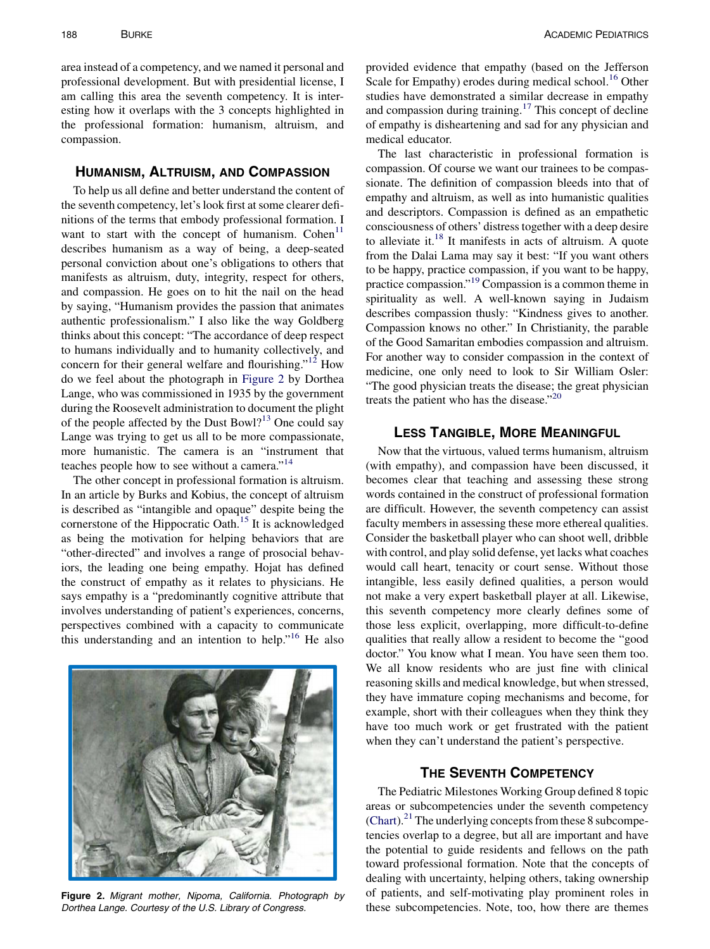area instead of a competency, and we named it personal and professional development. But with presidential license, I am calling this area the seventh competency. It is interesting how it overlaps with the 3 concepts highlighted in the professional formation: humanism, altruism, and compassion.

To help us all define and better understand the content of the seventh competency, let's look first at some clearer definitions of the terms that embody professional formation. I want to start with the concept of humanism. Cohen<sup>[11](#page-4-0)</sup> describes humanism as a way of being, a deep-seated personal conviction about one's obligations to others that manifests as altruism, duty, integrity, respect for others, and compassion. He goes on to hit the nail on the head by saying, "Humanism provides the passion that animates authentic professionalism." I also like the way Goldberg thinks about this concept: "The accordance of deep respect to humans individually and to humanity collectively, and concern for their general welfare and flourishing."<sup>[12](#page-4-0)</sup> How do we feel about the photograph in Figure 2 by Dorthea Lange, who was commissioned in 1935 by the government during the Roosevelt administration to document the plight of the people affected by the Dust Bowl?<sup>[13](#page-4-0)</sup> One could say Lange was trying to get us all to be more compassionate, more humanistic. The camera is an "instrument that teaches people how to see without a camera."<sup>[14](#page-4-0)</sup>

The other concept in professional formation is altruism. In an article by Burks and Kobius, the concept of altruism is described as "intangible and opaque" despite being the cornerstone of the Hippocratic Oath.<sup>[15](#page-4-0)</sup> It is acknowledged as being the motivation for helping behaviors that are "other-directed" and involves a range of prosocial behaviors, the leading one being empathy. Hojat has defined the construct of empathy as it relates to physicians. He says empathy is a "predominantly cognitive attribute that involves understanding of patient's experiences, concerns, perspectives combined with a capacity to communicate this understanding and an intention to help."[16](#page-4-0) He also



Figure 2. Migrant mother, Nipoma, California. Photograph by Dorthea Lange. Courtesy of the U.S. Library of Congress.

provided evidence that empathy (based on the Jefferson Scale for Empathy) erodes during medical school.<sup>[16](#page-4-0)</sup> Other studies have demonstrated a similar decrease in empathy and compassion during training.[17](#page-4-0) This concept of decline of empathy is disheartening and sad for any physician and medical educator.

The last characteristic in professional formation is compassion. Of course we want our trainees to be compassionate. The definition of compassion bleeds into that of empathy and altruism, as well as into humanistic qualities and descriptors. Compassion is defined as an empathetic consciousness of others' distress together with a deep desire to alleviate it.<sup>18</sup> It manifests in acts of altruism. A quote from the Dalai Lama may say it best: "If you want others to be happy, practice compassion, if you want to be happy, practice compassion."[19](#page-4-0) Compassion is a common theme in spirituality as well. A well-known saying in Judaism describes compassion thusly: "Kindness gives to another. Compassion knows no other." In Christianity, the parable of the Good Samaritan embodies compassion and altruism. For another way to consider compassion in the context of medicine, one only need to look to Sir William Osler: "The good physician treats the disease; the great physician treats the patient who has the disease."<sup>20</sup>

Now that the virtuous, valued terms humanism, altruism (with empathy), and compassion have been discussed, it becomes clear that teaching and assessing these strong words contained in the construct of professional formation are difficult. However, the seventh competency can assist faculty members in assessing these more ethereal qualities. Consider the basketball player who can shoot well, dribble with control, and play solid defense, yet lacks what coaches would call heart, tenacity or court sense. Without those intangible, less easily defined qualities, a person would not make a very expert basketball player at all. Likewise, this seventh competency more clearly defines some of those less explicit, overlapping, more difficult-to-define qualities that really allow a resident to become the "good doctor." You know what I mean. You have seen them too. We all know residents who are just fine with clinical reasoning skills and medical knowledge, but when stressed, they have immature coping mechanisms and become, for example, short with their colleagues when they think they have too much work or get frustrated with the patient when they can't understand the patient's perspective.

The Pediatric Milestones Working Group defined 8 topic areas or subcompetencies under the seventh competency (Chart).<sup>[21](#page-4-0)</sup> The underlying concepts from these 8 subcompetencies overlap to a degree, but all are important and have the potential to guide residents and fellows on the path toward professional formation. Note that the concepts of dealing with uncertainty, helping others, taking ownership of patients, and self-motivating play prominent roles in these subcompetencies. Note, too, how there are themes

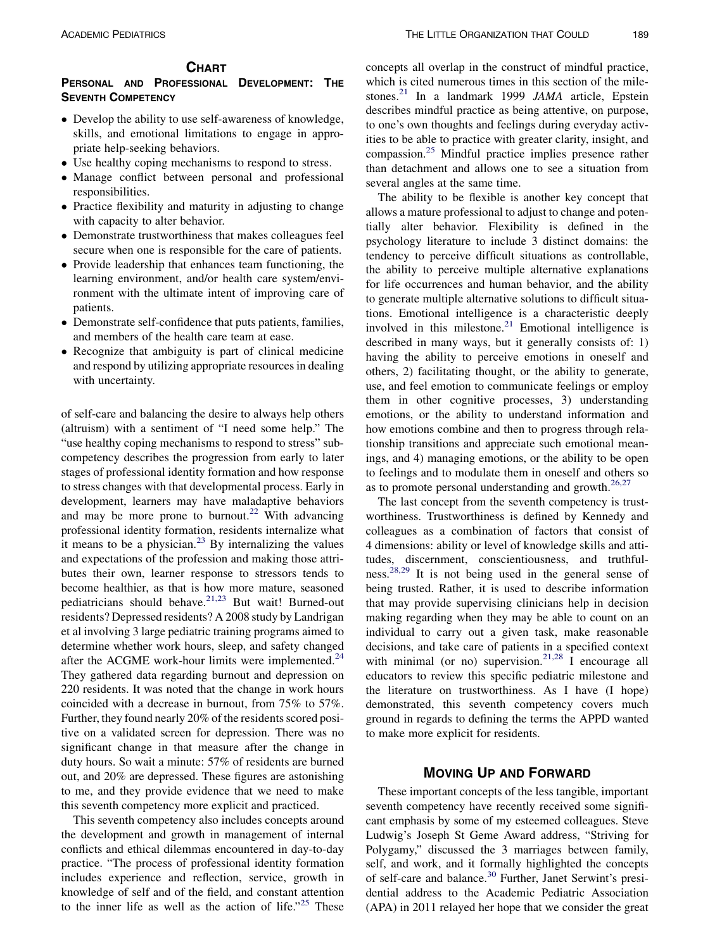# CHART<br>Personal and Professional Development: The **SEVENTH COMPETENCY** SEVENTH COMPETENCY

- Develop the ability to use self-awareness of knowledge, skills, and emotional limitations to engage in appropriate help-seeking behaviors.
- Use healthy coping mechanisms to respond to stress.
- Manage conflict between personal and professional responsibilities.
- Practice flexibility and maturity in adjusting to change with capacity to alter behavior.
- Demonstrate trustworthiness that makes colleagues feel secure when one is responsible for the care of patients.
- Provide leadership that enhances team functioning, the learning environment, and/or health care system/environment with the ultimate intent of improving care of patients.
- Demonstrate self-confidence that puts patients, families, and members of the health care team at ease.
- Recognize that ambiguity is part of clinical medicine and respond by utilizing appropriate resources in dealing with uncertainty.

of self-care and balancing the desire to always help others (altruism) with a sentiment of "I need some help." The "use healthy coping mechanisms to respond to stress" subcompetency describes the progression from early to later stages of professional identity formation and how response to stress changes with that developmental process. Early in development, learners may have maladaptive behaviors and may be more prone to burnout.<sup>[22](#page-4-0)</sup> With advancing professional identity formation, residents internalize what it means to be a physician.<sup>[23](#page-4-0)</sup> By internalizing the values and expectations of the profession and making those attributes their own, learner response to stressors tends to become healthier, as that is how more mature, seasoned pediatricians should behave.[21,23](#page-4-0) But wait! Burned-out residents? Depressed residents? A 2008 study by Landrigan et al involving 3 large pediatric training programs aimed to determine whether work hours, sleep, and safety changed after the ACGME work-hour limits were implemented.<sup>[24](#page-4-0)</sup> They gathered data regarding burnout and depression on 220 residents. It was noted that the change in work hours coincided with a decrease in burnout, from 75% to 57%. Further, they found nearly 20% of the residents scored positive on a validated screen for depression. There was no significant change in that measure after the change in duty hours. So wait a minute: 57% of residents are burned out, and 20% are depressed. These figures are astonishing to me, and they provide evidence that we need to make this seventh competency more explicit and practiced.

This seventh competency also includes concepts around the development and growth in management of internal conflicts and ethical dilemmas encountered in day-to-day practice. "The process of professional identity formation includes experience and reflection, service, growth in knowledge of self and of the field, and constant attention to the inner life as well as the action of life."<sup>[25](#page-4-0)</sup> These

concepts all overlap in the construct of mindful practice, which is cited numerous times in this section of the mile-stones.<sup>[21](#page-4-0)</sup> In a landmark 1999 JAMA article, Epstein describes mindful practice as being attentive, on purpose, to one's own thoughts and feelings during everyday activities to be able to practice with greater clarity, insight, and compassion[.25](#page-4-0) Mindful practice implies presence rather than detachment and allows one to see a situation from several angles at the same time.

The ability to be flexible is another key concept that allows a mature professional to adjust to change and potentially alter behavior. Flexibility is defined in the psychology literature to include 3 distinct domains: the tendency to perceive difficult situations as controllable, the ability to perceive multiple alternative explanations for life occurrences and human behavior, and the ability to generate multiple alternative solutions to difficult situations. Emotional intelligence is a characteristic deeply involved in this milestone. $21$  Emotional intelligence is described in many ways, but it generally consists of: 1) having the ability to perceive emotions in oneself and others, 2) facilitating thought, or the ability to generate, use, and feel emotion to communicate feelings or employ them in other cognitive processes, 3) understanding emotions, or the ability to understand information and how emotions combine and then to progress through relationship transitions and appreciate such emotional meanings, and 4) managing emotions, or the ability to be open to feelings and to modulate them in oneself and others so as to promote personal understanding and growth.<sup>[26,27](#page-4-0)</sup>

The last concept from the seventh competency is trustworthiness. Trustworthiness is defined by Kennedy and colleagues as a combination of factors that consist of 4 dimensions: ability or level of knowledge skills and attitudes, discernment, conscientiousness, and truthfulness.[28,29](#page-4-0) It is not being used in the general sense of being trusted. Rather, it is used to describe information that may provide supervising clinicians help in decision making regarding when they may be able to count on an individual to carry out a given task, make reasonable decisions, and take care of patients in a specified context with minimal (or no) supervision.<sup>[21,28](#page-4-0)</sup> I encourage all educators to review this specific pediatric milestone and the literature on trustworthiness. As I have (I hope) demonstrated, this seventh competency covers much ground in regards to defining the terms the APPD wanted to make more explicit for residents.

These important concepts of the less tangible, important seventh competency have recently received some significant emphasis by some of my esteemed colleagues. Steve Ludwig's Joseph St Geme Award address, "Striving for Polygamy," discussed the 3 marriages between family, self, and work, and it formally highlighted the concepts of self-care and balance.<sup>[30](#page-4-0)</sup> Further, Janet Serwint's presidential address to the Academic Pediatric Association (APA) in 2011 relayed her hope that we consider the great